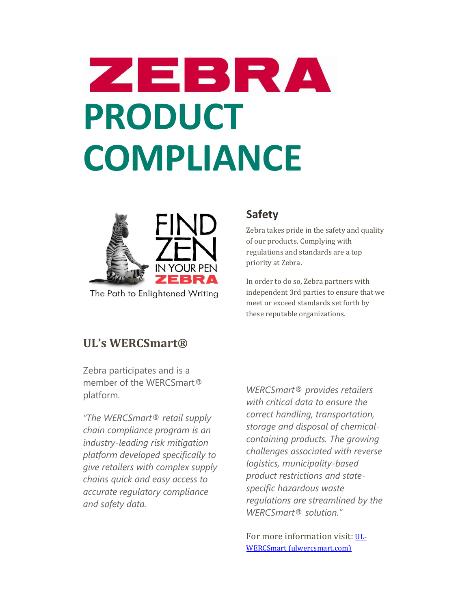# ZEBRA **PRODUCT COMPLIANCE**



The Path to Enlightened Writing

#### **Safety**

Zebra takes pride in the safety and quality of our products. Complying with regulations and standards are a top priority at Zebra.

In order to do so, Zebra partners with independent 3rd parties to ensure that we meet or exceed standards set forth by these reputable organizations.

#### **UL's WERCSmart®**

Zebra participates and is a member of the WERCSmart® platform.

*"The WERCSmart® retail supply chain compliance program is an industry-leading risk mitigation platform developed specifically to give retailers with complex supply chains quick and easy access to accurate regulatory compliance and safety data.*

*WERCSmart® provides retailers with critical data to ensure the correct handling, transportation, storage and disposal of chemicalcontaining products. The growing challenges associated with reverse logistics, municipality-based product restrictions and statespecific hazardous waste regulations are streamlined by the WERCSmart® solution."*

For more information visit: [UL-](https://ulwercsmart.com/)[WERCSmart \(ulwercsmart.com\)](https://ulwercsmart.com/)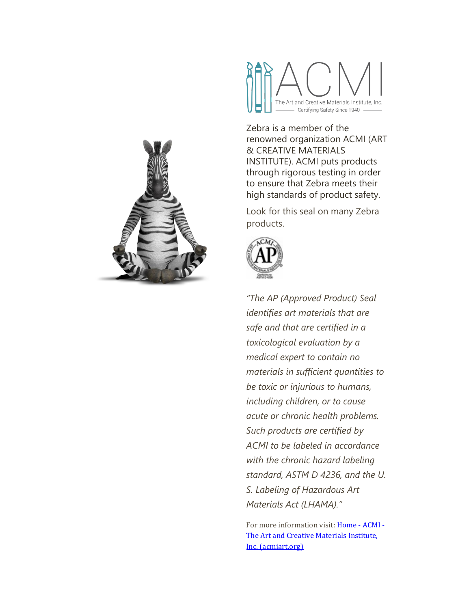



Zebra is a member of the renowned organization ACMI (ART & CREATIVE MATERIALS INSTITUTE). ACMI puts products through rigorous testing in order to ensure that Zebra meets their high standards of product safety.

Look for this seal on many Zebra products.



*"The AP (Approved Product) Seal identifies art materials that are safe and that are certified in a toxicological evaluation by a medical expert to contain no materials in sufficient quantities to be toxic or injurious to humans, including children, or to cause acute or chronic health problems. Such products are certified by ACMI to be labeled in accordance with the chronic hazard labeling standard, ASTM D 4236, and the U. S. Labeling of Hazardous Art Materials Act (LHAMA)."*

For more information visit[: Home -](https://acmiart.org/index.php) ACMI -[The Art and Creative Materials Institute,](https://acmiart.org/index.php)  [Inc. \(acmiart.org\)](https://acmiart.org/index.php)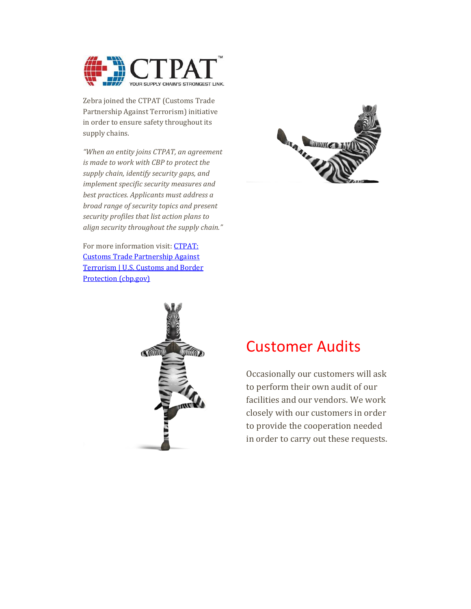

Zebra joined the CTPAT (Customs Trade Partnership Against Terrorism) initiative in order to ensure safety throughout its supply chains.

*"When an entity joins CTPAT, an agreement is made to work with CBP to protect the supply chain, identify security gaps, and implement specific security measures and best practices. Applicants must address a broad range of security topics and present security profiles that list action plans to align security throughout the supply chain."*

For more information visit: **CTPAT**: [Customs Trade Partnership Against](https://www.cbp.gov/border-security/ports-entry/cargo-security/ctpat)  [Terrorism | U.S. Customs and Border](https://www.cbp.gov/border-security/ports-entry/cargo-security/ctpat)  [Protection \(cbp.gov\)](https://www.cbp.gov/border-security/ports-entry/cargo-security/ctpat)





### Customer Audits

Occasionally our customers will ask to perform their own audit of our facilities and our vendors. We work closely with our customers in order to provide the cooperation needed in order to carry out these requests.